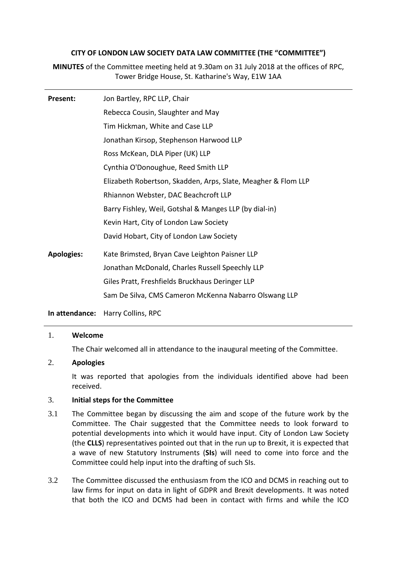## **CITY OF LONDON LAW SOCIETY DATA LAW COMMITTEE (THE "COMMITTEE")**

**MINUTES** of the Committee meeting held at 9.30am on 31 July 2018 at the offices of RPC, Tower Bridge House, St. Katharine's Way, E1W 1AA

| <b>Present:</b>   | Jon Bartley, RPC LLP, Chair                                   |
|-------------------|---------------------------------------------------------------|
|                   | Rebecca Cousin, Slaughter and May                             |
|                   | Tim Hickman, White and Case LLP                               |
|                   | Jonathan Kirsop, Stephenson Harwood LLP                       |
|                   | Ross McKean, DLA Piper (UK) LLP                               |
|                   | Cynthia O'Donoughue, Reed Smith LLP                           |
|                   | Elizabeth Robertson, Skadden, Arps, Slate, Meagher & Flom LLP |
|                   | Rhiannon Webster, DAC Beachcroft LLP                          |
|                   | Barry Fishley, Weil, Gotshal & Manges LLP (by dial-in)        |
|                   | Kevin Hart, City of London Law Society                        |
|                   | David Hobart, City of London Law Society                      |
| <b>Apologies:</b> | Kate Brimsted, Bryan Cave Leighton Paisner LLP                |
|                   | Jonathan McDonald, Charles Russell Speechly LLP               |
|                   | Giles Pratt, Freshfields Bruckhaus Deringer LLP               |
|                   | Sam De Silva, CMS Cameron McKenna Nabarro Olswang LLP         |
|                   |                                                               |

## **In attendance:** Harry Collins, RPC

#### 1. **Welcome**

The Chair welcomed all in attendance to the inaugural meeting of the Committee.

# 2. **Apologies**

It was reported that apologies from the individuals identified above had been received.

## 3. **Initial steps for the Committee**

- 3.1 The Committee began by discussing the aim and scope of the future work by the Committee. The Chair suggested that the Committee needs to look forward to potential developments into which it would have input. City of London Law Society (the **CLLS**) representatives pointed out that in the run up to Brexit, it is expected that a wave of new Statutory Instruments (**SIs**) will need to come into force and the Committee could help input into the drafting of such SIs.
- 3.2 The Committee discussed the enthusiasm from the ICO and DCMS in reaching out to law firms for input on data in light of GDPR and Brexit developments. It was noted that both the ICO and DCMS had been in contact with firms and while the ICO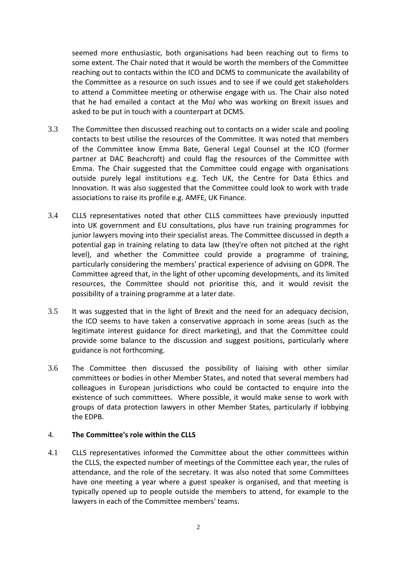seemed more enthusiastic, both organisations had been reaching out to firms to some extent. The Chair noted that it would be worth the members of the Committee reaching out to contacts within the ICO and DCMS to communicate the availability of the Committee as a resource on such issues and to see if we could get stakeholders to attend a Committee meeting or otherwise engage with us. The Chair also noted that he had emailed a contact at the MoJ who was working on Brexit issues and asked to be put in touch with a counterpart at DCMS.

- 3.3 The Committee then discussed reaching out to contacts on a wider scale and pooling contacts to best utilise the resources of the Committee. It was noted that members of the Committee know Emma Bate, General Legal Counsel at the ICO (former partner at DAC Beachcroft) and could flag the resources of the Committee with Emma. The Chair suggested that the Committee could engage with organisations outside purely legal institutions e.g. Tech UK, the Centre for Data Ethics and Innovation. It was also suggested that the Committee could look to work with trade associations to raise its profile e.g. AMFE, UK Finance.
- 3.4 CLLS representatives noted that other CLLS committees have previously inputted into UK government and EU consultations, plus have run training programmes for junior lawyers moving into their specialist areas. The Committee discussed in depth a potential gap in training relating to data law (they're often not pitched at the right level), and whether the Committee could provide a programme of training, particularly considering the members' practical experience of advising on GDPR. The Committee agreed that, in the light of other upcoming developments, and its limited resources, the Committee should not prioritise this, and it would revisit the possibility of a training programme at a later date.
- 3.5 It was suggested that in the light of Brexit and the need for an adequacy decision, the ICO seems to have taken a conservative approach in some areas (such as the legitimate interest guidance for direct marketing), and that the Committee could provide some balance to the discussion and suggest positions, particularly where guidance is not forthcoming.
- 3.6 The Committee then discussed the possibility of liaising with other similar committees or bodies in other Member States, and noted that several members had colleagues in European jurisdictions who could be contacted to enquire into the existence of such committees. Where possible, it would make sense to work with groups of data protection lawyers in other Member States, particularly if lobbying the EDPB.

## 4. **The Committee's role within the CLLS**

4.1 CLLS representatives informed the Committee about the other committees within the CLLS, the expected number of meetings of the Committee each year, the rules of attendance, and the role of the secretary. It was also noted that some Committees have one meeting a year where a guest speaker is organised, and that meeting is typically opened up to people outside the members to attend, for example to the lawyers in each of the Committee members' teams.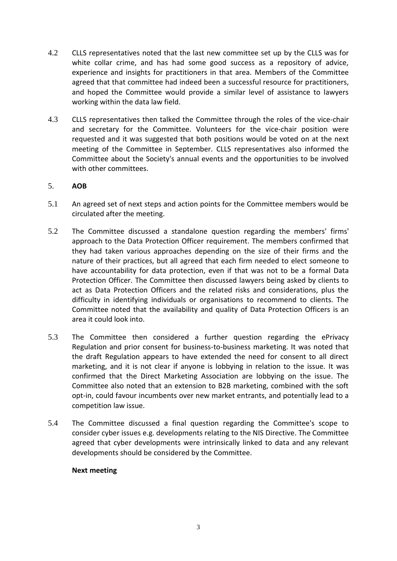- 4.2 CLLS representatives noted that the last new committee set up by the CLLS was for white collar crime, and has had some good success as a repository of advice, experience and insights for practitioners in that area. Members of the Committee agreed that that committee had indeed been a successful resource for practitioners, and hoped the Committee would provide a similar level of assistance to lawyers working within the data law field.
- 4.3 CLLS representatives then talked the Committee through the roles of the vice-chair and secretary for the Committee. Volunteers for the vice-chair position were requested and it was suggested that both positions would be voted on at the next meeting of the Committee in September. CLLS representatives also informed the Committee about the Society's annual events and the opportunities to be involved with other committees.

### 5. **AOB**

- 5.1 An agreed set of next steps and action points for the Committee members would be circulated after the meeting.
- 5.2 The Committee discussed a standalone question regarding the members' firms' approach to the Data Protection Officer requirement. The members confirmed that they had taken various approaches depending on the size of their firms and the nature of their practices, but all agreed that each firm needed to elect someone to have accountability for data protection, even if that was not to be a formal Data Protection Officer. The Committee then discussed lawyers being asked by clients to act as Data Protection Officers and the related risks and considerations, plus the difficulty in identifying individuals or organisations to recommend to clients. The Committee noted that the availability and quality of Data Protection Officers is an area it could look into.
- 5.3 The Committee then considered a further question regarding the ePrivacy Regulation and prior consent for business-to-business marketing. It was noted that the draft Regulation appears to have extended the need for consent to all direct marketing, and it is not clear if anyone is lobbying in relation to the issue. It was confirmed that the Direct Marketing Association are lobbying on the issue. The Committee also noted that an extension to B2B marketing, combined with the soft opt-in, could favour incumbents over new market entrants, and potentially lead to a competition law issue.
- 5.4 The Committee discussed a final question regarding the Committee's scope to consider cyber issues e.g. developments relating to the NIS Directive. The Committee agreed that cyber developments were intrinsically linked to data and any relevant developments should be considered by the Committee.

#### **Next meeting**